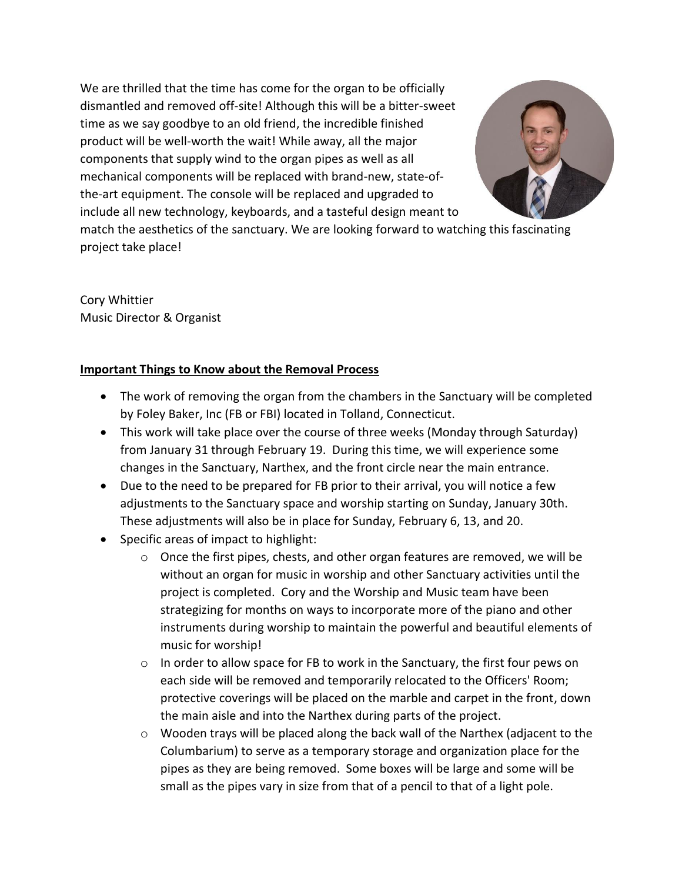We are thrilled that the time has come for the organ to be officially dismantled and removed off-site! Although this will be a bitter-sweet time as we say goodbye to an old friend, the incredible finished product will be well-worth the wait! While away, all the major components that supply wind to the organ pipes as well as all mechanical components will be replaced with brand-new, state-ofthe-art equipment. The console will be replaced and upgraded to include all new technology, keyboards, and a tasteful design meant to



match the aesthetics of the sanctuary. We are looking forward to watching this fascinating project take place!

Cory Whittier Music Director & Organist

## **Important Things to Know about the Removal Process**

- The work of removing the organ from the chambers in the Sanctuary will be completed by Foley Baker, Inc (FB or FBI) located in Tolland, Connecticut.
- This work will take place over the course of three weeks (Monday through Saturday) from January 31 through February 19. During this time, we will experience some changes in the Sanctuary, Narthex, and the front circle near the main entrance.
- Due to the need to be prepared for FB prior to their arrival, you will notice a few adjustments to the Sanctuary space and worship starting on Sunday, January 30th. These adjustments will also be in place for Sunday, February 6, 13, and 20.
- Specific areas of impact to highlight:
	- o Once the first pipes, chests, and other organ features are removed, we will be without an organ for music in worship and other Sanctuary activities until the project is completed. Cory and the Worship and Music team have been strategizing for months on ways to incorporate more of the piano and other instruments during worship to maintain the powerful and beautiful elements of music for worship!
	- $\circ$  In order to allow space for FB to work in the Sanctuary, the first four pews on each side will be removed and temporarily relocated to the Officers' Room; protective coverings will be placed on the marble and carpet in the front, down the main aisle and into the Narthex during parts of the project.
	- $\circ$  Wooden trays will be placed along the back wall of the Narthex (adjacent to the Columbarium) to serve as a temporary storage and organization place for the pipes as they are being removed. Some boxes will be large and some will be small as the pipes vary in size from that of a pencil to that of a light pole.